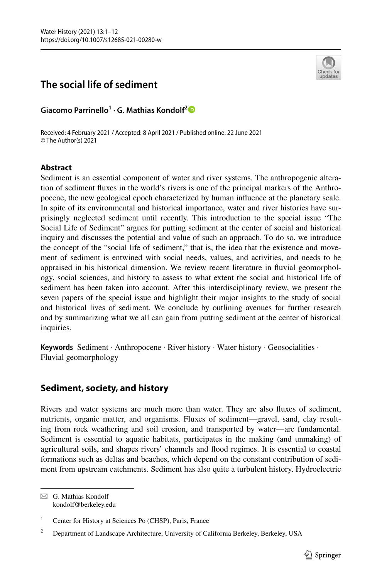# **The social life of sediment**



**Giacomo Parrinello1 · G. Mathias Kondolf[2](http://orcid.org/0000-0001-5639-9995)**

Received: 4 February 2021 / Accepted: 8 April 2021 / Published online: 22 June 2021 © The Author(s) 2021

# **Abstract**

Sediment is an essential component of water and river systems. The anthropogenic alteration of sediment fuxes in the world's rivers is one of the principal markers of the Anthropocene, the new geological epoch characterized by human infuence at the planetary scale. In spite of its environmental and historical importance, water and river histories have surprisingly neglected sediment until recently. This introduction to the special issue "The Social Life of Sediment" argues for putting sediment at the center of social and historical inquiry and discusses the potential and value of such an approach. To do so, we introduce the concept of the "social life of sediment," that is, the idea that the existence and movement of sediment is entwined with social needs, values, and activities, and needs to be appraised in his historical dimension. We review recent literature in fuvial geomorphology, social sciences, and history to assess to what extent the social and historical life of sediment has been taken into account. After this interdisciplinary review, we present the seven papers of the special issue and highlight their major insights to the study of social and historical lives of sediment. We conclude by outlining avenues for further research and by summarizing what we all can gain from putting sediment at the center of historical inquiries.

**Keywords** Sediment · Anthropocene · River history · Water history · Geosocialities · Fluvial geomorphology

# **Sediment, society, and history**

Rivers and water systems are much more than water. They are also fuxes of sediment, nutrients, organic matter, and organisms. Fluxes of sediment—gravel, sand, clay resulting from rock weathering and soil erosion, and transported by water—are fundamental. Sediment is essential to aquatic habitats, participates in the making (and unmaking) of agricultural soils, and shapes rivers' channels and food regimes. It is essential to coastal formations such as deltas and beaches, which depend on the constant contribution of sediment from upstream catchments. Sediment has also quite a turbulent history. Hydroelectric

 $\boxtimes$  G. Mathias Kondolf kondolf@berkeley.edu

<sup>&</sup>lt;sup>1</sup> Center for History at Sciences Po (CHSP), Paris, France

<sup>&</sup>lt;sup>2</sup> Department of Landscape Architecture, University of California Berkeley, Berkeley, USA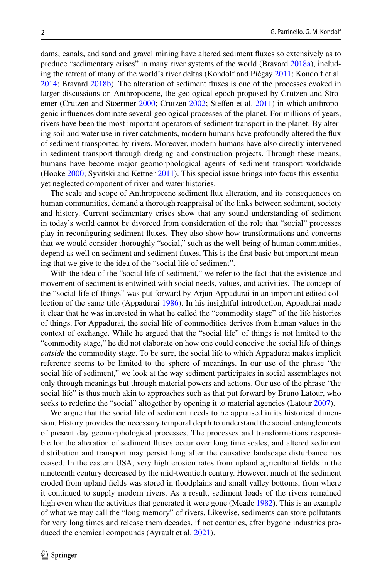dams, canals, and sand and gravel mining have altered sediment fuxes so extensively as to produce "sedimentary crises" in many river systems of the world (Bravard [2018a](#page-9-0)), including the retreat of many of the world's river deltas (Kondolf and Piégay [2011](#page-10-0); Kondolf et al. [2014;](#page-10-1) Bravard [2018b\)](#page-9-1). The alteration of sediment fuxes is one of the processes evoked in larger discussions on Anthropocene, the geological epoch proposed by Crutzen and Stro-emer (Crutzen and Stoermer [2000;](#page-10-2) Crutzen [2002;](#page-10-3) Steffen et al. [2011](#page-11-0)) in which anthropogenic infuences dominate several geological processes of the planet. For millions of years, rivers have been the most important operators of sediment transport in the planet. By altering soil and water use in river catchments, modern humans have profoundly altered the fux of sediment transported by rivers. Moreover, modern humans have also directly intervened in sediment transport through dredging and construction projects. Through these means, humans have become major geomorphological agents of sediment transport worldwide (Hooke [2000](#page-10-4); Syvitski and Kettner [2011\)](#page-11-1). This special issue brings into focus this essential yet neglected component of river and water histories.

The scale and scope of Anthropocene sediment fux alteration, and its consequences on human communities, demand a thorough reappraisal of the links between sediment, society and history. Current sedimentary crises show that any sound understanding of sediment in today's world cannot be divorced from consideration of the role that "social" processes play in reconfguring sediment fuxes. They also show how transformations and concerns that we would consider thoroughly "social," such as the well-being of human communities, depend as well on sediment and sediment fuxes. This is the frst basic but important meaning that we give to the idea of the "social life of sediment".

With the idea of the "social life of sediment," we refer to the fact that the existence and movement of sediment is entwined with social needs, values, and activities. The concept of the "social life of things" was put forward by Arjun Appadurai in an important edited collection of the same title (Appadurai [1986](#page-9-2)). In his insightful introduction, Appadurai made it clear that he was interested in what he called the "commodity stage" of the life histories of things. For Appadurai, the social life of commodities derives from human values in the context of exchange. While he argued that the "social life" of things is not limited to the "commodity stage," he did not elaborate on how one could conceive the social life of things *outside* the commodity stage. To be sure, the social life to which Appadurai makes implicit reference seems to be limited to the sphere of meanings. In our use of the phrase "the social life of sediment," we look at the way sediment participates in social assemblages not only through meanings but through material powers and actions. Our use of the phrase "the social life" is thus much akin to approaches such as that put forward by Bruno Latour, who seeks to redefine the "social" altogether by opening it to material agencies (Latour [2007](#page-10-5)).

We argue that the social life of sediment needs to be appraised in its historical dimension. History provides the necessary temporal depth to understand the social entanglements of present day geomorphological processes. The processes and transformations responsible for the alteration of sediment fuxes occur over long time scales, and altered sediment distribution and transport may persist long after the causative landscape disturbance has ceased. In the eastern USA, very high erosion rates from upland agricultural felds in the nineteenth century decreased by the mid-twentieth century. However, much of the sediment eroded from upland felds was stored in foodplains and small valley bottoms, from where it continued to supply modern rivers. As a result, sediment loads of the rivers remained high even when the activities that generated it were gone (Meade [1982\)](#page-10-6). This is an example of what we may call the "long memory" of rivers. Likewise, sediments can store pollutants for very long times and release them decades, if not centuries, after bygone industries produced the chemical compounds (Ayrault et al. [2021](#page-9-3)).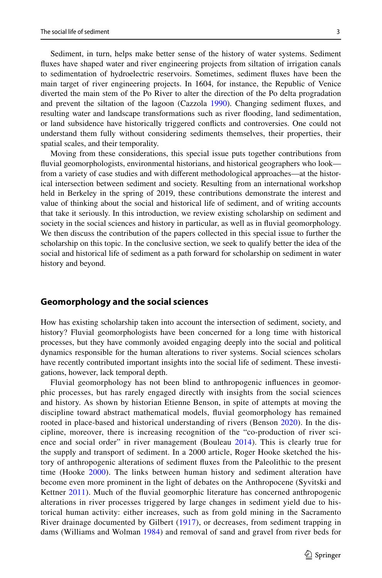Sediment, in turn, helps make better sense of the history of water systems. Sediment fuxes have shaped water and river engineering projects from siltation of irrigation canals to sedimentation of hydroelectric reservoirs. Sometimes, sediment fuxes have been the main target of river engineering projects. In 1604, for instance, the Republic of Venice diverted the main stem of the Po River to alter the direction of the Po delta progradation and prevent the siltation of the lagoon (Cazzola [1990](#page-9-4)). Changing sediment fuxes, and resulting water and landscape transformations such as river fooding, land sedimentation, or land subsidence have historically triggered conficts and controversies. One could not understand them fully without considering sediments themselves, their properties, their spatial scales, and their temporality.

Moving from these considerations, this special issue puts together contributions from fluvial geomorphologists, environmental historians, and historical geographers who look from a variety of case studies and with diferent methodological approaches—at the historical intersection between sediment and society. Resulting from an international workshop held in Berkeley in the spring of 2019, these contributions demonstrate the interest and value of thinking about the social and historical life of sediment, and of writing accounts that take it seriously. In this introduction, we review existing scholarship on sediment and society in the social sciences and history in particular, as well as in fluvial geomorphology. We then discuss the contribution of the papers collected in this special issue to further the scholarship on this topic. In the conclusive section, we seek to qualify better the idea of the social and historical life of sediment as a path forward for scholarship on sediment in water history and beyond.

#### **Geomorphology and the social sciences**

How has existing scholarship taken into account the intersection of sediment, society, and history? Fluvial geomorphologists have been concerned for a long time with historical processes, but they have commonly avoided engaging deeply into the social and political dynamics responsible for the human alterations to river systems. Social sciences scholars have recently contributed important insights into the social life of sediment. These investigations, however, lack temporal depth.

Fluvial geomorphology has not been blind to anthropogenic infuences in geomorphic processes, but has rarely engaged directly with insights from the social sciences and history. As shown by historian Etienne Benson, in spite of attempts at moving the discipline toward abstract mathematical models, fuvial geomorphology has remained rooted in place-based and historical understanding of rivers (Benson [2020\)](#page-9-5). In the discipline, moreover, there is increasing recognition of the "co-production of river science and social order" in river management (Bouleau [2014\)](#page-9-6). This is clearly true for the supply and transport of sediment. In a 2000 article, Roger Hooke sketched the history of anthropogenic alterations of sediment fuxes from the Paleolithic to the present time (Hooke [2000\)](#page-10-4). The links between human history and sediment alteration have become even more prominent in the light of debates on the Anthropocene (Syvitski and Kettner [2011\)](#page-11-1). Much of the fluvial geomorphic literature has concerned anthropogenic alterations in river processes triggered by large changes in sediment yield due to historical human activity: either increases, such as from gold mining in the Sacramento River drainage documented by Gilbert ([1917\)](#page-10-7), or decreases, from sediment trapping in dams (Williams and Wolman [1984](#page-11-2)) and removal of sand and gravel from river beds for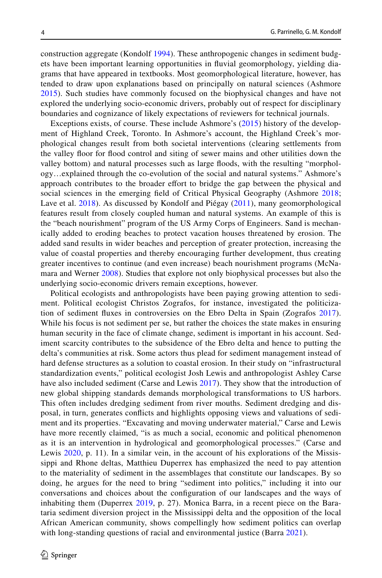construction aggregate (Kondolf [1994](#page-10-8)). These anthropogenic changes in sediment budgets have been important learning opportunities in fuvial geomorphology, yielding diagrams that have appeared in textbooks. Most geomorphological literature, however, has tended to draw upon explanations based on principally on natural sciences (Ashmore [2015](#page-9-7)). Such studies have commonly focused on the biophysical changes and have not explored the underlying socio-economic drivers, probably out of respect for disciplinary boundaries and cognizance of likely expectations of reviewers for technical journals.

Exceptions exists, of course. These include Ashmore's ([2015\)](#page-9-7) history of the development of Highland Creek, Toronto. In Ashmore's account, the Highland Creek's morphological changes result from both societal interventions (clearing settlements from the valley foor for food control and siting of sewer mains and other utilities down the valley bottom) and natural processes such as large foods, with the resulting "morphology…explained through the co-evolution of the social and natural systems." Ashmore's approach contributes to the broader efort to bridge the gap between the physical and social sciences in the emerging feld of Critical Physical Geography (Ashmore [2018;](#page-9-8) Lave et al. [2018](#page-10-9)). As discussed by Kondolf and Piégay [\(2011\)](#page-10-0), many geomorphological features result from closely coupled human and natural systems. An example of this is the "beach nourishment" program of the US Army Corps of Engineers. Sand is mechanically added to eroding beaches to protect vacation houses threatened by erosion. The added sand results in wider beaches and perception of greater protection, increasing the value of coastal properties and thereby encouraging further development, thus creating greater incentives to continue (and even increase) beach nourishment programs (McNamara and Werner [2008](#page-10-10)). Studies that explore not only biophysical processes but also the underlying socio-economic drivers remain exceptions, however.

Political ecologists and anthropologists have been paying growing attention to sediment. Political ecologist Christos Zografos, for instance, investigated the politicization of sediment fuxes in controversies on the Ebro Delta in Spain (Zografos [2017\)](#page-11-3). While his focus is not sediment per se, but rather the choices the state makes in ensuring human security in the face of climate change, sediment is important in his account. Sediment scarcity contributes to the subsidence of the Ebro delta and hence to putting the delta's communities at risk. Some actors thus plead for sediment management instead of hard defense structures as a solution to coastal erosion. In their study on "infrastructural standardization events," political ecologist Josh Lewis and anthropologist Ashley Carse have also included sediment (Carse and Lewis [2017](#page-9-9)). They show that the introduction of new global shipping standards demands morphological transformations to US harbors. This often includes dredging sediment from river mouths. Sediment dredging and disposal, in turn, generates conficts and highlights opposing views and valuations of sediment and its properties. "Excavating and moving underwater material," Carse and Lewis have more recently claimed, "is as much a social, economic and political phenomenon as it is an intervention in hydrological and geomorphological processes." (Carse and Lewis [2020](#page-9-10), p. 11). In a similar vein, in the account of his explorations of the Mississippi and Rhone deltas, Matthieu Duperrex has emphasized the need to pay attention to the materiality of sediment in the assemblages that constitute our landscapes. By so doing, he argues for the need to bring "sediment into politics," including it into our conversations and choices about the confguration of our landscapes and the ways of inhabiting them (Duperrex [2019](#page-10-11), p. 27). Monica Barra, in a recent piece on the Barataria sediment diversion project in the Mississippi delta and the opposition of the local African American community, shows compellingly how sediment politics can overlap with long-standing questions of racial and environmental justice (Barra [2021\)](#page-9-11).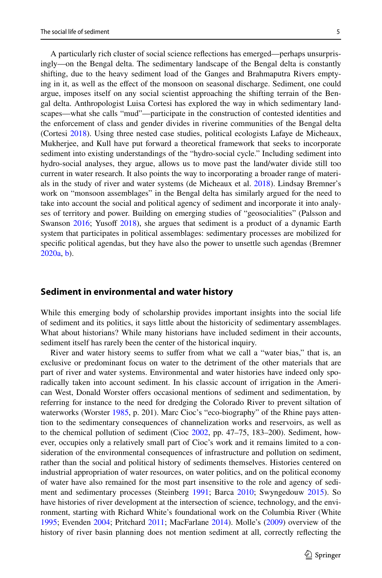A particularly rich cluster of social science refections has emerged—perhaps unsurprisingly—on the Bengal delta. The sedimentary landscape of the Bengal delta is constantly shifting, due to the heavy sediment load of the Ganges and Brahmaputra Rivers emptying in it, as well as the efect of the monsoon on seasonal discharge. Sediment, one could argue, imposes itself on any social scientist approaching the shifting terrain of the Bengal delta. Anthropologist Luisa Cortesi has explored the way in which sedimentary landscapes—what she calls "mud"—participate in the construction of contested identities and the enforcement of class and gender divides in riverine communities of the Bengal delta (Cortesi [2018\)](#page-9-12). Using three nested case studies, political ecologists Lafaye de Micheaux, Mukherjee, and Kull have put forward a theoretical framework that seeks to incorporate sediment into existing understandings of the "hydro-social cycle." Including sediment into hydro-social analyses, they argue, allows us to move past the land/water divide still too current in water research. It also points the way to incorporating a broader range of materials in the study of river and water systems (de Micheaux et al.  $2018$ ). Lindsay Bremner's work on "monsoon assemblages" in the Bengal delta has similarly argued for the need to take into account the social and political agency of sediment and incorporate it into analyses of territory and power. Building on emerging studies of "geosocialities" (Palsson and Swanson [2016](#page-11-4); Yusoff [2018](#page-11-5)), she argues that sediment is a product of a dynamic Earth system that participates in political assemblages: sedimentary processes are mobilized for specifc political agendas, but they have also the power to unsettle such agendas (Bremner [2020a,](#page-9-13) [b](#page-9-14)).

#### **Sediment in environmental and water history**

While this emerging body of scholarship provides important insights into the social life of sediment and its politics, it says little about the historicity of sedimentary assemblages. What about historians? While many historians have included sediment in their accounts, sediment itself has rarely been the center of the historical inquiry.

River and water history seems to sufer from what we call a "water bias," that is, an exclusive or predominant focus on water to the detriment of the other materials that are part of river and water systems. Environmental and water histories have indeed only sporadically taken into account sediment. In his classic account of irrigation in the American West, Donald Worster ofers occasional mentions of sediment and sedimentation, by referring for instance to the need for dredging the Colorado River to prevent siltation of waterworks (Worster [1985](#page-11-6), p. 201). Marc Cioc's "eco-biography" of the Rhine pays attention to the sedimentary consequences of channelization works and reservoirs, as well as to the chemical pollution of sediment (Cioc [2002,](#page-9-15) pp. 47–75, 183–200). Sediment, however, occupies only a relatively small part of Cioc's work and it remains limited to a consideration of the environmental consequences of infrastructure and pollution on sediment, rather than the social and political history of sediments themselves. Histories centered on industrial appropriation of water resources, on water politics, and on the political economy of water have also remained for the most part insensitive to the role and agency of sediment and sedimentary processes (Steinberg [1991](#page-11-7); Barca [2010](#page-9-16); Swyngedouw [2015](#page-11-8)). So have histories of river development at the intersection of science, technology, and the environment, starting with Richard White's foundational work on the Columbia River (White [1995;](#page-11-9) Evenden [2004;](#page-10-13) Pritchard [2011](#page-11-10); MacFarlane [2014\)](#page-10-14). Molle's [\(2009](#page-10-15)) overview of the history of river basin planning does not mention sediment at all, correctly refecting the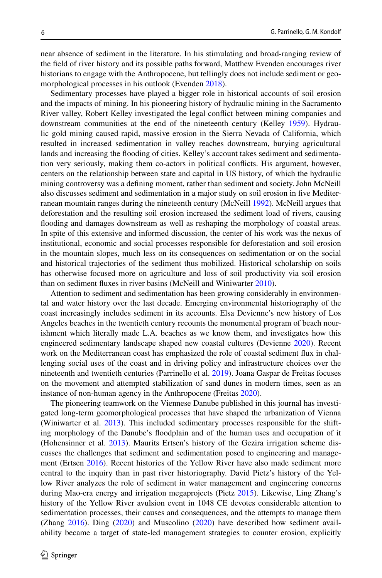near absence of sediment in the literature. In his stimulating and broad-ranging review of the feld of river history and its possible paths forward, Matthew Evenden encourages river historians to engage with the Anthropocene, but tellingly does not include sediment or geomorphological processes in his outlook (Evenden [2018\)](#page-10-16).

Sedimentary processes have played a bigger role in historical accounts of soil erosion and the impacts of mining. In his pioneering history of hydraulic mining in the Sacramento River valley, Robert Kelley investigated the legal confict between mining companies and downstream communities at the end of the nineteenth century (Kelley [1959](#page-10-17)). Hydraulic gold mining caused rapid, massive erosion in the Sierra Nevada of California, which resulted in increased sedimentation in valley reaches downstream, burying agricultural lands and increasing the fooding of cities. Kelley's account takes sediment and sedimentation very seriously, making them co-actors in political conficts. His argument, however, centers on the relationship between state and capital in US history, of which the hydraulic mining controversy was a defning moment, rather than sediment and society. John McNeill also discusses sediment and sedimentation in a major study on soil erosion in fve Mediterranean mountain ranges during the nineteenth century (McNeill [1992\)](#page-10-18). McNeill argues that deforestation and the resulting soil erosion increased the sediment load of rivers, causing fooding and damages downstream as well as reshaping the morphology of coastal areas. In spite of this extensive and informed discussion, the center of his work was the nexus of institutional, economic and social processes responsible for deforestation and soil erosion in the mountain slopes, much less on its consequences on sedimentation or on the social and historical trajectories of the sediment thus mobilized. Historical scholarship on soils has otherwise focused more on agriculture and loss of soil productivity via soil erosion than on sediment fuxes in river basins (McNeill and Winiwarter [2010\)](#page-10-19).

Attention to sediment and sedimentation has been growing considerably in environmental and water history over the last decade. Emerging environmental historiography of the coast increasingly includes sediment in its accounts. Elsa Devienne's new history of Los Angeles beaches in the twentieth century recounts the monumental program of beach nourishment which literally made L.A. beaches as we know them, and investigates how this engineered sedimentary landscape shaped new coastal cultures (Devienne [2020](#page-10-20)). Recent work on the Mediterranean coast has emphasized the role of coastal sediment fux in challenging social uses of the coast and in driving policy and infrastructure choices over the nineteenth and twentieth centuries (Parrinello et al. [2019](#page-11-11)). Joana Gaspar de Freitas focuses on the movement and attempted stabilization of sand dunes in modern times, seen as an instance of non-human agency in the Anthropocene (Freitas [2020\)](#page-10-21).

The pioneering teamwork on the Viennese Danube published in this journal has investigated long-term geomorphological processes that have shaped the urbanization of Vienna (Winiwarter et al. [2013](#page-11-12)). This included sedimentary processes responsible for the shifting morphology of the Danube's foodplain and of the human uses and occupation of it (Hohensinner et al. [2013](#page-10-22)). Maurits Ertsen's history of the Gezira irrigation scheme discusses the challenges that sediment and sedimentation posed to engineering and management (Ertsen [2016\)](#page-10-23). Recent histories of the Yellow River have also made sediment more central to the inquiry than in past river historiography. David Pietz's history of the Yellow River analyzes the role of sediment in water management and engineering concerns during Mao-era energy and irrigation megaprojects (Pietz [2015](#page-11-13)). Likewise, Ling Zhang's history of the Yellow River avulsion event in 1048 CE devotes considerable attention to sedimentation processes, their causes and consequences, and the attempts to manage them (Zhang [2016](#page-11-14)). Ding ([2020\)](#page-10-24) and Muscolino ([2020\)](#page-10-25) have described how sediment availability became a target of state-led management strategies to counter erosion, explicitly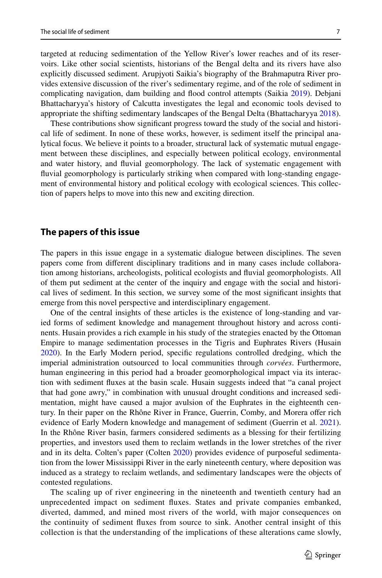targeted at reducing sedimentation of the Yellow River's lower reaches and of its reservoirs. Like other social scientists, historians of the Bengal delta and its rivers have also explicitly discussed sediment. Arupjyoti Saikia's biography of the Brahmaputra River provides extensive discussion of the river's sedimentary regime, and of the role of sediment in complicating navigation, dam building and food control attempts (Saikia [2019\)](#page-11-15). Debjani Bhattacharyya's history of Calcutta investigates the legal and economic tools devised to appropriate the shifting sedimentary landscapes of the Bengal Delta (Bhattacharyya [2018\)](#page-9-17).

These contributions show signifcant progress toward the study of the social and historical life of sediment. In none of these works, however, is sediment itself the principal analytical focus. We believe it points to a broader, structural lack of systematic mutual engagement between these disciplines, and especially between political ecology, environmental and water history, and fuvial geomorphology. The lack of systematic engagement with fuvial geomorphology is particularly striking when compared with long-standing engagement of environmental history and political ecology with ecological sciences. This collection of papers helps to move into this new and exciting direction.

#### **The papers of this issue**

The papers in this issue engage in a systematic dialogue between disciplines. The seven papers come from diferent disciplinary traditions and in many cases include collaboration among historians, archeologists, political ecologists and fuvial geomorphologists. All of them put sediment at the center of the inquiry and engage with the social and historical lives of sediment. In this section, we survey some of the most signifcant insights that emerge from this novel perspective and interdisciplinary engagement.

One of the central insights of these articles is the existence of long-standing and varied forms of sediment knowledge and management throughout history and across continents. Husain provides a rich example in his study of the strategies enacted by the Ottoman Empire to manage sedimentation processes in the Tigris and Euphrates Rivers (Husain [2020\)](#page-10-26). In the Early Modern period, specifc regulations controlled dredging, which the imperial administration outsourced to local communities through *corvées*. Furthermore, human engineering in this period had a broader geomorphological impact via its interaction with sediment fuxes at the basin scale. Husain suggests indeed that "a canal project that had gone awry," in combination with unusual drought conditions and increased sedimentation, might have caused a major avulsion of the Euphrates in the eighteenth century. In their paper on the Rhône River in France, Guerrin, Comby, and Morera ofer rich evidence of Early Modern knowledge and management of sediment (Guerrin et al. [2021](#page-10-27)). In the Rhône River basin, farmers considered sediments as a blessing for their fertilizing properties, and investors used them to reclaim wetlands in the lower stretches of the river and in its delta. Colten's paper (Colten [2020](#page-9-18)) provides evidence of purposeful sedimentation from the lower Mississippi River in the early nineteenth century, where deposition was induced as a strategy to reclaim wetlands, and sedimentary landscapes were the objects of contested regulations.

The scaling up of river engineering in the nineteenth and twentieth century had an unprecedented impact on sediment fuxes. States and private companies embanked, diverted, dammed, and mined most rivers of the world, with major consequences on the continuity of sediment fuxes from source to sink. Another central insight of this collection is that the understanding of the implications of these alterations came slowly,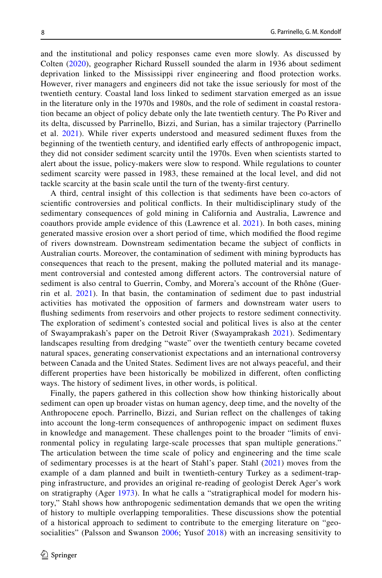and the institutional and policy responses came even more slowly. As discussed by Colten [\(2020](#page-9-18)), geographer Richard Russell sounded the alarm in 1936 about sediment deprivation linked to the Mississippi river engineering and food protection works. However, river managers and engineers did not take the issue seriously for most of the twentieth century. Coastal land loss linked to sediment starvation emerged as an issue in the literature only in the 1970s and 1980s, and the role of sediment in coastal restoration became an object of policy debate only the late twentieth century. The Po River and its delta, discussed by Parrinello, Bizzi, and Surian, has a similar trajectory (Parrinello et al. [2021](#page-11-16)). While river experts understood and measured sediment fuxes from the beginning of the twentieth century, and identifed early efects of anthropogenic impact, they did not consider sediment scarcity until the 1970s. Even when scientists started to alert about the issue, policy-makers were slow to respond. While regulations to counter sediment scarcity were passed in 1983, these remained at the local level, and did not tackle scarcity at the basin scale until the turn of the twenty-frst century.

A third, central insight of this collection is that sediments have been co-actors of scientifc controversies and political conficts. In their multidisciplinary study of the sedimentary consequences of gold mining in California and Australia, Lawrence and coauthors provide ample evidence of this (Lawrence et al. [2021](#page-10-28)). In both cases, mining generated massive erosion over a short period of time, which modifed the food regime of rivers downstream. Downstream sedimentation became the subject of conficts in Australian courts. Moreover, the contamination of sediment with mining byproducts has consequences that reach to the present, making the polluted material and its management controversial and contested among diferent actors. The controversial nature of sediment is also central to Guerrin, Comby, and Morera's account of the Rhône (Guerrin et al. [2021\)](#page-10-27). In that basin, the contamination of sediment due to past industrial activities has motivated the opposition of farmers and downstream water users to fushing sediments from reservoirs and other projects to restore sediment connectivity. The exploration of sediment's contested social and political lives is also at the center of Swayamprakash's paper on the Detroit River (Swayamprakash [2021](#page-11-17)). Sedimentary landscapes resulting from dredging "waste" over the twentieth century became coveted natural spaces, generating conservationist expectations and an international controversy between Canada and the United States. Sediment lives are not always peaceful, and their diferent properties have been historically be mobilized in diferent, often conficting ways. The history of sediment lives, in other words, is political.

Finally, the papers gathered in this collection show how thinking historically about sediment can open up broader vistas on human agency, deep time, and the novelty of the Anthropocene epoch. Parrinello, Bizzi, and Surian refect on the challenges of taking into account the long-term consequences of anthropogenic impact on sediment fuxes in knowledge and management. These challenges point to the broader "limits of environmental policy in regulating large-scale processes that span multiple generations." The articulation between the time scale of policy and engineering and the time scale of sedimentary processes is at the heart of Stahl's paper. Stahl ([2021\)](#page-11-18) moves from the example of a dam planned and built in twentieth-century Turkey as a sediment-trapping infrastructure, and provides an original re-reading of geologist Derek Ager's work on stratigraphy (Ager [1973](#page-9-19)). In what he calls a "stratigraphical model for modern history," Stahl shows how anthropogenic sedimentation demands that we open the writing of history to multiple overlapping temporalities. These discussions show the potential of a historical approach to sediment to contribute to the emerging literature on "geo-socialities" (Palsson and Swanson [2006;](#page-11-4) Yusof [2018\)](#page-11-5) with an increasing sensitivity to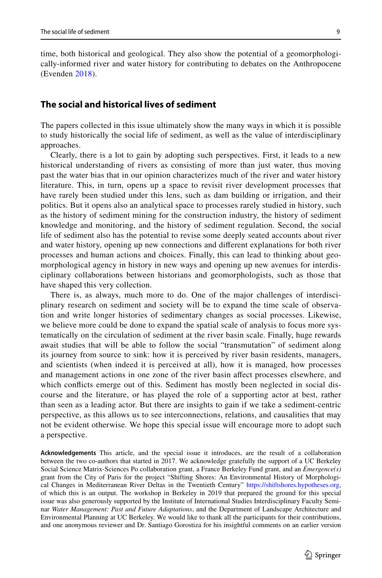time, both historical and geological. They also show the potential of a geomorphologically-informed river and water history for contributing to debates on the Anthropocene (Evenden [2018](#page-10-16)).

### **The social and historical lives of sediment**

The papers collected in this issue ultimately show the many ways in which it is possible to study historically the social life of sediment, as well as the value of interdisciplinary approaches.

Clearly, there is a lot to gain by adopting such perspectives. First, it leads to a new historical understanding of rivers as consisting of more than just water, thus moving past the water bias that in our opinion characterizes much of the river and water history literature. This, in turn, opens up a space to revisit river development processes that have rarely been studied under this lens, such as dam building or irrigation, and their politics. But it opens also an analytical space to processes rarely studied in history, such as the history of sediment mining for the construction industry, the history of sediment knowledge and monitoring, and the history of sediment regulation. Second, the social life of sediment also has the potential to revise some deeply seated accounts about river and water history, opening up new connections and diferent explanations for both river processes and human actions and choices. Finally, this can lead to thinking about geomorphological agency in history in new ways and opening up new avenues for interdisciplinary collaborations between historians and geomorphologists, such as those that have shaped this very collection.

There is, as always, much more to do. One of the major challenges of interdisciplinary research on sediment and society will be to expand the time scale of observation and write longer histories of sedimentary changes as social processes. Likewise, we believe more could be done to expand the spatial scale of analysis to focus more systematically on the circulation of sediment at the river basin scale. Finally, huge rewards await studies that will be able to follow the social "transmutation" of sediment along its journey from source to sink: how it is perceived by river basin residents, managers, and scientists (when indeed it is perceived at all), how it is managed, how processes and management actions in one zone of the river basin afect processes elsewhere, and which conficts emerge out of this. Sediment has mostly been neglected in social discourse and the literature, or has played the role of a supporting actor at best, rather than seen as a leading actor. But there are insights to gain if we take a sediment-centric perspective, as this allows us to see interconnections, relations, and causalities that may not be evident otherwise. We hope this special issue will encourage more to adopt such a perspective.

**Acknowledgements** This article, and the special issue it introduces, are the result of a collaboration between the two co-authors that started in 2017. We acknowledge gratefully the support of a UC Berkeley Social Science Matrix-Sciences Po collaboration grant, a France Berkeley Fund grant, and an *Émergence(s)* grant from the City of Paris for the project "Shifting Shores: An Environmental History of Morphological Changes in Mediterranean River Deltas in the Twentieth Century" [https://shiftshores.hypotheses.org,](https://shiftshores.hypotheses.org) of which this is an output. The workshop in Berkeley in 2019 that prepared the ground for this special issue was also generously supported by the Institute of International Studies Interdisciplinary Faculty Seminar *Water Management: Past and Future Adaptations*, and the Department of Landscape Architecture and Environmental Planning at UC Berkeley. We would like to thank all the participants for their contributions, and one anonymous reviewer and Dr. Santiago Gorostiza for his insightful comments on an earlier version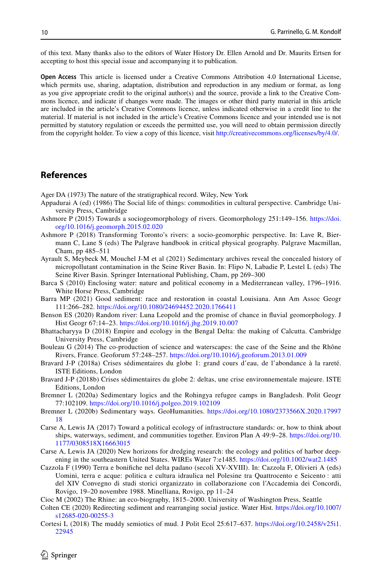of this text. Many thanks also to the editors of Water History Dr. Ellen Arnold and Dr. Maurits Ertsen for accepting to host this special issue and accompanying it to publication.

**Open Access** This article is licensed under a Creative Commons Attribution 4.0 International License, which permits use, sharing, adaptation, distribution and reproduction in any medium or format, as long as you give appropriate credit to the original author(s) and the source, provide a link to the Creative Commons licence, and indicate if changes were made. The images or other third party material in this article are included in the article's Creative Commons licence, unless indicated otherwise in a credit line to the material. If material is not included in the article's Creative Commons licence and your intended use is not permitted by statutory regulation or exceeds the permitted use, you will need to obtain permission directly from the copyright holder. To view a copy of this licence, visit [http://creativecommons.org/licenses/by/4.0/.](http://creativecommons.org/licenses/by/4.0/)

# **References**

<span id="page-9-19"></span>Ager DA (1973) The nature of the stratigraphical record. Wiley, New York

- <span id="page-9-2"></span>Appadurai A (ed) (1986) The Social life of things: commodities in cultural perspective. Cambridge University Press, Cambridge
- <span id="page-9-7"></span>Ashmore P (2015) Towards a sociogeomorphology of rivers. Geomorphology 251:149–156. [https://doi.](https://doi.org/10.1016/j.geomorph.2015.02.020) [org/10.1016/j.geomorph.2015.02.020](https://doi.org/10.1016/j.geomorph.2015.02.020)
- <span id="page-9-8"></span>Ashmore P (2018) Transforming Toronto's rivers: a socio-geomorphic perspective. In: Lave R, Biermann C, Lane S (eds) The Palgrave handbook in critical physical geography. Palgrave Macmillan, Cham, pp 485–511
- <span id="page-9-3"></span>Ayrault S, Meybeck M, Mouchel J-M et al (2021) Sedimentary archives reveal the concealed history of micropollutant contamination in the Seine River Basin. In: Flipo N, Labadie P, Lestel L (eds) The Seine River Basin. Springer International Publishing, Cham, pp 269–300
- <span id="page-9-16"></span>Barca S (2010) Enclosing water: nature and political economy in a Mediterranean valley, 1796–1916. White Horse Press, Cambridge
- <span id="page-9-11"></span>Barra MP (2021) Good sediment: race and restoration in coastal Louisiana. Ann Am Assoc Geogr 111:266–282.<https://doi.org/10.1080/24694452.2020.1766411>
- <span id="page-9-5"></span>Benson ES (2020) Random river: Luna Leopold and the promise of chance in fuvial geomorphology. J Hist Geogr 67:14–23. <https://doi.org/10.1016/j.jhg.2019.10.007>
- <span id="page-9-17"></span>Bhattacharyya D (2018) Empire and ecology in the Bengal Delta: the making of Calcutta. Cambridge University Press, Cambridge
- <span id="page-9-6"></span>Bouleau G (2014) The co-production of science and waterscapes: the case of the Seine and the Rhône Rivers, France. Geoforum 57:248–257.<https://doi.org/10.1016/j.geoforum.2013.01.009>
- <span id="page-9-0"></span>Bravard J-P (2018a) Crises sédimentaires du globe 1: grand cours d'eau, de l'abondance à la rareté. ISTE Editions, London
- <span id="page-9-1"></span>Bravard J-P (2018b) Crises sédimentaires du globe 2: deltas, une crise environnementale majeure. ISTE Editions, London
- <span id="page-9-13"></span>Bremner L (2020a) Sedimentary logics and the Rohingya refugee camps in Bangladesh. Polit Geogr 77:102109.<https://doi.org/10.1016/j.polgeo.2019.102109>
- <span id="page-9-14"></span>Bremner L (2020b) Sedimentary ways. GeoHumanities. [https://doi.org/10.1080/2373566X.2020.17997](https://doi.org/10.1080/2373566X.2020.1799718) [18](https://doi.org/10.1080/2373566X.2020.1799718)
- <span id="page-9-9"></span>Carse A, Lewis JA (2017) Toward a political ecology of infrastructure standards: or, how to think about ships, waterways, sediment, and communities together. Environ Plan A 49:9–28. [https://doi.org/10.](https://doi.org/10.1177/0308518X16663015) [1177/0308518X16663015](https://doi.org/10.1177/0308518X16663015)
- <span id="page-9-10"></span>Carse A, Lewis JA (2020) New horizons for dredging research: the ecology and politics of harbor deepening in the southeastern United States. WIREs Water 7:e1485. <https://doi.org/10.1002/wat2.1485>
- <span id="page-9-4"></span>Cazzola F (1990) Terra e bonifche nel delta padano (secoli XV-XVIII). In: Cazzola F, Olivieri A (eds) Uomini, terra e acque: politica e cultura idraulica nel Polesine tra Quattrocento e Seicento : atti del XIV Convegno di studi storici organizzato in collaborazione con l'Accademia dei Concordi, Rovigo, 19–20 novembre 1988. Minelliana, Rovigo, pp 11–24
- <span id="page-9-15"></span>Cioc M (2002) The Rhine: an eco-biography, 1815–2000. University of Washington Press, Seattle
- <span id="page-9-18"></span>Colten CE (2020) Redirecting sediment and rearranging social justice. Water Hist. [https://doi.org/10.1007/](https://doi.org/10.1007/s12685-020-00255-3) [s12685-020-00255-3](https://doi.org/10.1007/s12685-020-00255-3)
- <span id="page-9-12"></span>Cortesi L (2018) The muddy semiotics of mud. J Polit Ecol 25:617–637. [https://doi.org/10.2458/v25i1.](https://doi.org/10.2458/v25i1.22945) [22945](https://doi.org/10.2458/v25i1.22945)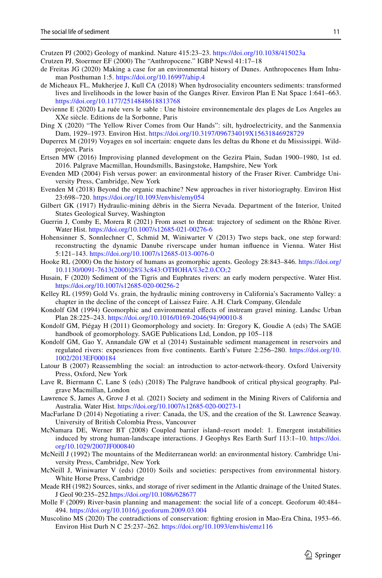<span id="page-10-3"></span>Crutzen PJ (2002) Geology of mankind. Nature 415:23–23. <https://doi.org/10.1038/415023a>

<span id="page-10-2"></span>Crutzen PJ, Stoermer EF (2000) The "Anthropocene." IGBP Newsl 41:17–18

- <span id="page-10-21"></span>de Freitas JG (2020) Making a case for an environmental history of Dunes. Anthropocenes Hum Inhuman Posthuman 1:5.<https://doi.org/10.16997/ahip.4>
- <span id="page-10-12"></span>de Micheaux FL, Mukherjee J, Kull CA (2018) When hydrosociality encounters sediments: transformed lives and livelihoods in the lower basin of the Ganges River. Environ Plan E Nat Space 1:641–663. <https://doi.org/10.1177/2514848618813768>
- <span id="page-10-20"></span>Devienne E (2020) La ruée vers le sable : Une histoire environnementale des plages de Los Angeles au XXe siècle. Editions de la Sorbonne, Paris
- <span id="page-10-24"></span>Ding X (2020) "The Yellow River Comes from Our Hands": silt, hydroelectricity, and the Sanmenxia Dam, 1929–1973. Environ Hist.<https://doi.org/10.3197/096734019X15631846928729>
- <span id="page-10-11"></span>Duperrex M (2019) Voyages en sol incertain: enquete dans les deltas du Rhone et du Mississippi. Wildproject, Paris
- <span id="page-10-23"></span>Ertsen MW (2016) Improvising planned development on the Gezira Plain, Sudan 1900–1980, 1st ed. 2016. Palgrave Macmillan, Houndsmills, Basingstoke, Hampshire, New York
- <span id="page-10-13"></span>Evenden MD (2004) Fish versus power: an environmental history of the Fraser River. Cambridge University Press, Cambridge, New York
- <span id="page-10-16"></span>Evenden M (2018) Beyond the organic machine? New approaches in river historiography. Environ Hist 23:698–720.<https://doi.org/10.1093/envhis/emy054>
- <span id="page-10-7"></span>Gilbert GK (1917) Hydraulic-mining débris in the Sierra Nevada. Department of the Interior, United States Geological Survey, Washington
- <span id="page-10-27"></span>Guerrin J, Comby E, Morera R (2021) From asset to threat: trajectory of sediment on the Rhône River. Water Hist.<https://doi.org/10.1007/s12685-021-00276-6>
- <span id="page-10-22"></span>Hohensinner S, Sonnlechner C, Schmid M, Winiwarter V (2013) Two steps back, one step forward: reconstructing the dynamic Danube riverscape under human infuence in Vienna. Water Hist 5:121–143.<https://doi.org/10.1007/s12685-013-0076-0>
- <span id="page-10-4"></span>Hooke RL (2000) On the history of humans as geomorphic agents. Geology 28:843–846. [https://doi.org/](https://doi.org/10.1130/0091-7613(2000)28%3c843:OTHOHA%3e2.0.CO;2) [10.1130/0091-7613\(2000\)28%3c843:OTHOHA%3e2.0.CO;2](https://doi.org/10.1130/0091-7613(2000)28%3c843:OTHOHA%3e2.0.CO;2)
- <span id="page-10-26"></span>Husain, F (2020) Sediment of the Tigris and Euphrates rivers: an early modern perspective. Water Hist. <https://doi.org/10.1007/s12685-020-00256-2>
- <span id="page-10-17"></span>Kelley RL (1959) Gold Vs. grain, the hydraulic mining controversy in California's Sacramento Valley: a chapter in the decline of the concept of Laissez Faire. A.H. Clark Company, Glendale
- <span id="page-10-8"></span>Kondolf GM (1994) Geomorphic and environmental efects of instream gravel mining. Landsc Urban Plan 28:225–243. [https://doi.org/10.1016/0169-2046\(94\)90010-8](https://doi.org/10.1016/0169-2046(94)90010-8)
- <span id="page-10-0"></span>Kondolf GM, Piégay H (2011) Geomorphology and society. In: Gregory K, Goudie A (eds) The SAGE handbook of geomorphology. SAGE Publications Ltd, London, pp 105–118
- <span id="page-10-1"></span>Kondolf GM, Gao Y, Annandale GW et al (2014) Sustainable sediment management in reservoirs and regulated rivers: expesriences from fve continents. Earth's Future 2:256–280. [https://doi.org/10.](https://doi.org/10.1002/2013EF000184) [1002/2013EF000184](https://doi.org/10.1002/2013EF000184)
- <span id="page-10-5"></span>Latour B (2007) Reassembling the social: an introduction to actor-network-theory. Oxford University Press, Oxford, New York
- <span id="page-10-9"></span>Lave R, Biermann C, Lane S (eds) (2018) The Palgrave handbook of critical physical geography. Palgrave Macmillan, London
- <span id="page-10-28"></span>Lawrence S, James A, Grove J et al. (2021) Society and sediment in the Mining Rivers of California and Australia. Water Hist.<https://doi.org/10.1007/s12685-020-00273-1>
- <span id="page-10-14"></span>MacFarlane D (2014) Negotiating a river: Canada, the US, and the creation of the St. Lawrence Seaway. University of British Colombia Press, Vancouver
- <span id="page-10-10"></span>McNamara DE, Werner BT (2008) Coupled barrier island–resort model: 1. Emergent instabilities induced by strong human-landscape interactions. J Geophys Res Earth Surf 113:1–10. [https://doi.](https://doi.org/10.1029/2007JF000840) [org/10.1029/2007JF000840](https://doi.org/10.1029/2007JF000840)
- <span id="page-10-18"></span>McNeill J (1992) The mountains of the Mediterranean world: an environmental history. Cambridge University Press, Cambridge, New York
- <span id="page-10-19"></span>McNeill J, Winiwarter V (eds) (2010) Soils and societies: perspectives from environmental history. White Horse Press, Cambridge
- <span id="page-10-6"></span>Meade RH (1982) Sources, sinks, and storage of river sediment in the Atlantic drainage of the United States. J Geol 90:235–252.<https://doi.org/10.1086/628677>
- <span id="page-10-15"></span>Molle F (2009) River-basin planning and management: the social life of a concept. Geoforum 40:484– 494.<https://doi.org/10.1016/j.geoforum.2009.03.004>
- <span id="page-10-25"></span>Muscolino MS (2020) The contradictions of conservation: fghting erosion in Mao-Era China, 1953–66. Environ Hist Durh N C 25:237–262. <https://doi.org/10.1093/envhis/emz116>